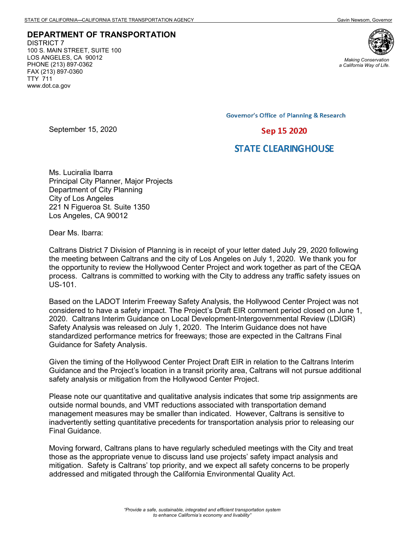**DEPARTMENT OF TRANSPORTATION** DISTRICT 7 100 S. MAIN STREET, SUITE 100 LOS ANGELES, CA 90012 PHONE (213) 897-0362 FAX (213) 897-0360 TTY 711 www.dot.ca.gov

September 15, 2020



*Making Conservation a California Way of Life.*

**Governor's Office of Planning & Research** 

Sep 15 2020

## **STATE CLEARING HOUSE**

Ms. Luciralia Ibarra Principal City Planner, Major Projects Department of City Planning City of Los Angeles 221 N Figueroa St. Suite 1350 Los Angeles, CA 90012

Dear Ms. Ibarra:

Caltrans District 7 Division of Planning is in receipt of your letter dated July 29, 2020 following the meeting between Caltrans and the city of Los Angeles on July 1, 2020. We thank you for the opportunity to review the Hollywood Center Project and work together as part of the CEQA process. Caltrans is committed to working with the City to address any traffic safety issues on US-101.

Based on the LADOT Interim Freeway Safety Analysis, the Hollywood Center Project was not considered to have a safety impact. The Project's Draft EIR comment period closed on June 1, 2020. Caltrans Interim Guidance on Local Development-Intergovernmental Review (LDIGR) Safety Analysis was released on July 1, 2020. The Interim Guidance does not have standardized performance metrics for freeways; those are expected in the Caltrans Final Guidance for Safety Analysis.

Given the timing of the Hollywood Center Project Draft EIR in relation to the Caltrans Interim Guidance and the Project's location in a transit priority area, Caltrans will not pursue additional safety analysis or mitigation from the Hollywood Center Project.

Please note our quantitative and qualitative analysis indicates that some trip assignments are outside normal bounds, and VMT reductions associated with transportation demand management measures may be smaller than indicated. However, Caltrans is sensitive to inadvertently setting quantitative precedents for transportation analysis prior to releasing our Final Guidance.

Moving forward, Caltrans plans to have regularly scheduled meetings with the City and treat those as the appropriate venue to discuss land use projects' safety impact analysis and mitigation. Safety is Caltrans' top priority, and we expect all safety concerns to be properly addressed and mitigated through the California Environmental Quality Act.